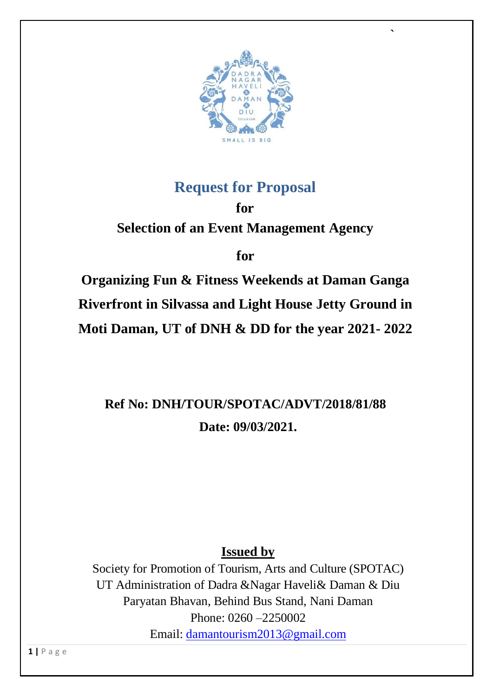

 $\mathbf{r} = \mathbf{r} \cdot \mathbf{r}$  and  $\mathbf{r} = \mathbf{r} \cdot \mathbf{r}$  and  $\mathbf{r} = \mathbf{r} \cdot \mathbf{r}$  and  $\mathbf{r} = \mathbf{r} \cdot \mathbf{r}$ 

## **Request for Proposal**

**for Selection of an Event Management Agency** 

**for**

**Organizing Fun & Fitness Weekends at Daman Ganga Riverfront in Silvassa and Light House Jetty Ground in Moti Daman, UT of DNH & DD for the year 2021- 2022**

**Ref No: DNH/TOUR/SPOTAC/ADVT/2018/81/88 Date: 09/03/2021.**

**Issued by**

Society for Promotion of Tourism, Arts and Culture (SPOTAC) UT Administration of Dadra &Nagar Haveli& Daman & Diu Paryatan Bhavan, Behind Bus Stand, Nani Daman Phone: 0260 –2250002 Email: [damantourism2013@gmail.com](mailto:damantourism2013@gmail.com)

**1 |** P a g e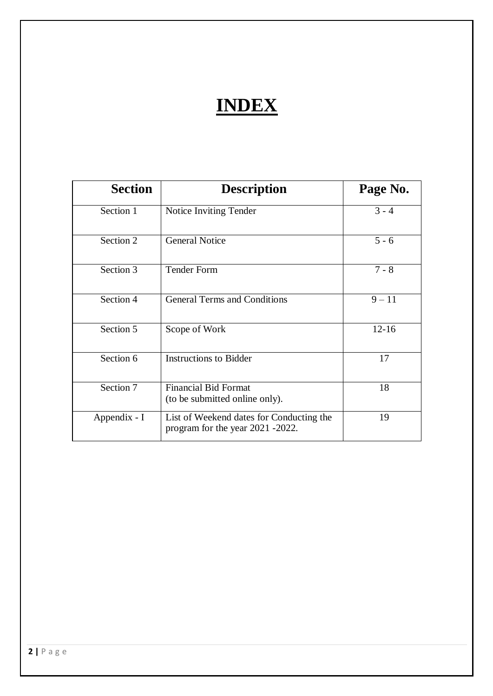# **INDEX**

| <b>Section</b> | <b>Description</b>                                                           | Page No.  |
|----------------|------------------------------------------------------------------------------|-----------|
| Section 1      | Notice Inviting Tender                                                       | $3 - 4$   |
| Section 2      | <b>General Notice</b>                                                        | $5 - 6$   |
| Section 3      | <b>Tender Form</b>                                                           | $7 - 8$   |
| Section 4      | <b>General Terms and Conditions</b>                                          | $9 - 11$  |
| Section 5      | Scope of Work                                                                | $12 - 16$ |
| Section 6      | <b>Instructions to Bidder</b>                                                | 17        |
| Section 7      | <b>Financial Bid Format</b><br>(to be submitted online only).                | 18        |
| Appendix - I   | List of Weekend dates for Conducting the<br>program for the year 2021 -2022. | 19        |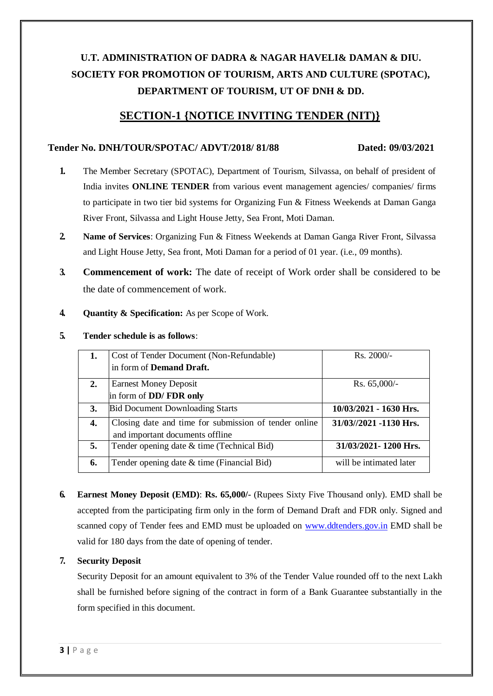## **U.T. ADMINISTRATION OF DADRA & NAGAR HAVELI& DAMAN & DIU. SOCIETY FOR PROMOTION OF TOURISM, ARTS AND CULTURE (SPOTAC), DEPARTMENT OF TOURISM, UT OF DNH & DD.**

### **SECTION-1 {NOTICE INVITING TENDER (NIT)}**

#### **Tender No. DNH/TOUR/SPOTAC/ ADVT/2018/ 81/88 Dated: 09/03/2021**

- **1.** The Member Secretary (SPOTAC), Department of Tourism, Silvassa, on behalf of president of India invites **ONLINE TENDER** from various event management agencies/ companies/ firms to participate in two tier bid systems for Organizing Fun & Fitness Weekends at Daman Ganga River Front, Silvassa and Light House Jetty, Sea Front, Moti Daman.
- **2. Name of Services**: Organizing Fun & Fitness Weekends at Daman Ganga River Front, Silvassa and Light House Jetty, Sea front, Moti Daman for a period of 01 year. (i.e., 09 months).
- **3. Commencement of work:** The date of receipt of Work order shall be considered to be the date of commencement of work.
- **4. Quantity & Specification:** As per Scope of Work.

| 5. | Tender schedule is as follows: |  |
|----|--------------------------------|--|
|    |                                |  |

| 1. | Cost of Tender Document (Non-Refundable)              | $Rs. 2000/-$             |
|----|-------------------------------------------------------|--------------------------|
|    | in form of Demand Draft.                              |                          |
| 2. | <b>Earnest Money Deposit</b>                          | Rs. $65,000/-$           |
|    | in form of DD/FDR only                                |                          |
| 3. | <b>Bid Document Downloading Starts</b>                | $10/03/2021 - 1630$ Hrs. |
| 4. | Closing date and time for submission of tender online | 31/03//2021 -1130 Hrs.   |
|    | and important documents offline                       |                          |
| 5. | Tender opening date & time (Technical Bid)            | 31/03/2021-1200 Hrs.     |
| 6. | Tender opening date & time (Financial Bid)            | will be intimated later  |

**6. Earnest Money Deposit (EMD)**: **Rs. 65,000/-** (Rupees Sixty Five Thousand only). EMD shall be accepted from the participating firm only in the form of Demand Draft and FDR only. Signed and scanned copy of Tender fees and EMD must be uploaded on [www.ddtenders.gov.in](http://www.ddtenders.gov.in/) EMD shall be valid for 180 days from the date of opening of tender.

#### **7. Security Deposit**

Security Deposit for an amount equivalent to 3% of the Tender Value rounded off to the next Lakh shall be furnished before signing of the contract in form of a Bank Guarantee substantially in the form specified in this document.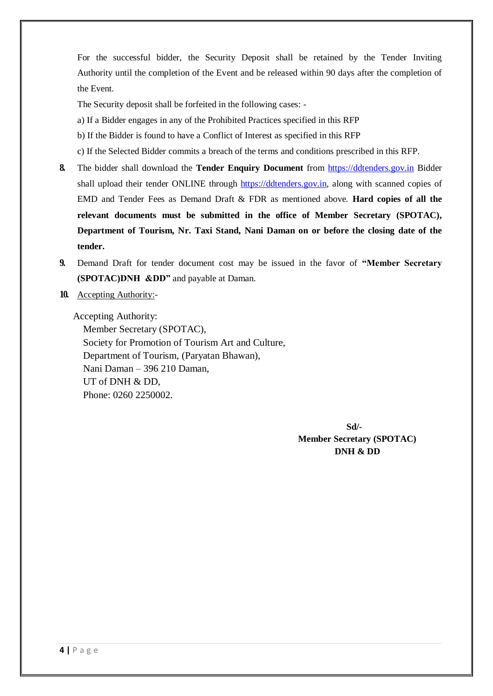For the successful bidder, the Security Deposit shall be retained by the Tender Inviting Authority until the completion of the Event and be released within 90 days after the completion of the Event.

The Security deposit shall be forfeited in the following cases: -

- a) If a Bidder engages in any of the Prohibited Practices specified in this RFP
- b) If the Bidder is found to have a Conflict of Interest as specified in this RFP
- c) If the Selected Bidder commits a breach of the terms and conditions prescribed in this RFP.
- **8.** The bidder shall download the **Tender Enquiry Document** from https://ddtenders.gov.in Bidder shall upload their tender ONLINE through https://ddtenders.gov.in, along with scanned copies of EMD and Tender Fees as Demand Draft & FDR as mentioned above. **Hard copies of all the relevant documents must be submitted in the office of Member Secretary (SPOTAC), Department of Tourism, Nr. Taxi Stand, Nani Daman on or before the closing date of the tender.**
- **9.** Demand Draft for tender document cost may be issued in the favor of **"Member Secretary (SPOTAC)DNH &DD"** and payable at Daman.
- **10.** Accepting Authority:-

Accepting Authority: Member Secretary (SPOTAC), Society for Promotion of Tourism Art and Culture, Department of Tourism, (Paryatan Bhawan), Nani Daman – 396 210 Daman, UT of DNH & DD, Phone: 0260 2250002.

> **Sd/- Member Secretary (SPOTAC) DNH & DD**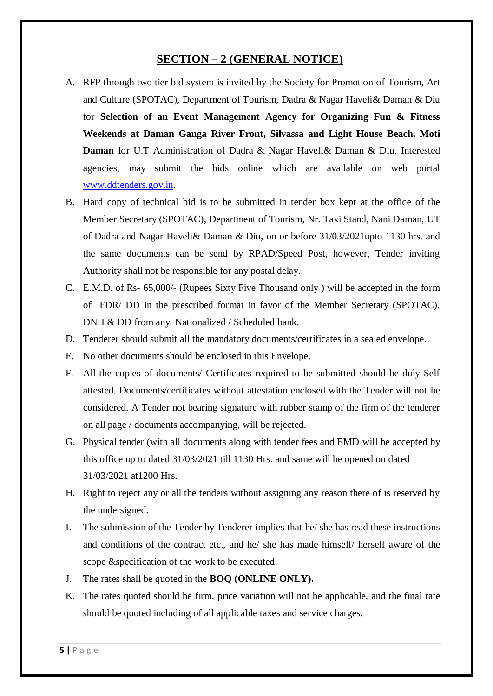#### **SECTION – 2 (GENERAL NOTICE)**

- A. RFP through two tier bid system is invited by the Society for Promotion of Tourism, Art and Culture (SPOTAC), Department of Tourism, Dadra & Nagar Haveli& Daman & Diu for **Selection of an Event Management Agency for Organizing Fun & Fitness Weekends at Daman Ganga River Front, Silvassa and Light House Beach, Moti Daman** for U.T Administration of Dadra & Nagar Haveli& Daman & Diu. Interested agencies, may submit the bids online which are available on web portal [www.ddtenders.gov.in.](http://www.ddtenders.gov.in/)
- B. Hard copy of technical bid is to be submitted in tender box kept at the office of the Member Secretary (SPOTAC), Department of Tourism, Nr. Taxi Stand, Nani Daman, UT of Dadra and Nagar Haveli& Daman & Diu, on or before 31/03/2021upto 1130 hrs. and the same documents can be send by RPAD/Speed Post, however, Tender inviting Authority shall not be responsible for any postal delay.
- C. E.M.D. of Rs- 65,000/- (Rupees Sixty Five Thousand only ) will be accepted in the form of FDR/ DD in the prescribed format in favor of the Member Secretary (SPOTAC), DNH & DD from any Nationalized / Scheduled bank.
- D. Tenderer should submit all the mandatory documents/certificates in a sealed envelope.
- E. No other documents should be enclosed in this Envelope.
- F. All the copies of documents/ Certificates required to be submitted should be duly Self attested. Documents/certificates without attestation enclosed with the Tender will not be considered. A Tender not bearing signature with rubber stamp of the firm of the tenderer on all page / documents accompanying, will be rejected.
- G. Physical tender (with all documents along with tender fees and EMD will be accepted by this office up to dated 31/03/2021 till 1130 Hrs. and same will be opened on dated 31/03/2021 at1200 Hrs.
- H. Right to reject any or all the tenders without assigning any reason there of is reserved by the undersigned.
- I. The submission of the Tender by Tenderer implies that he/ she has read these instructions and conditions of the contract etc., and he/ she has made himself/ herself aware of the scope &specification of the work to be executed.
- J. The rates shall be quoted in the **BOQ (ONLINE ONLY).**
- K. The rates quoted should be firm, price variation will not be applicable, and the final rate should be quoted including of all applicable taxes and service charges.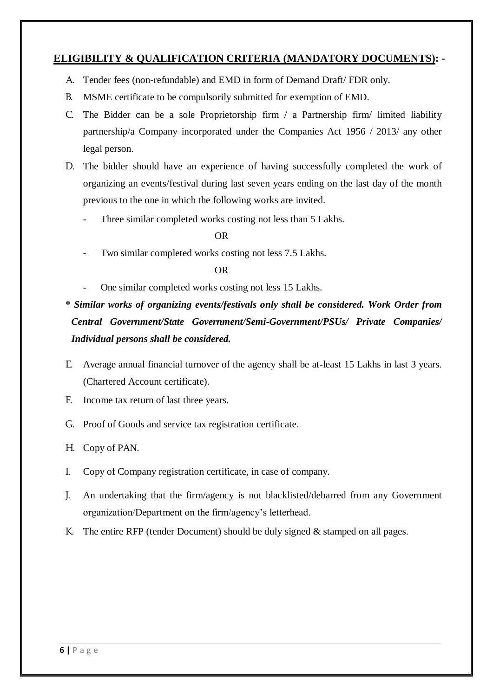#### **ELIGIBILITY & QUALIFICATION CRITERIA (MANDATORY DOCUMENTS): -**

- A. Tender fees (non-refundable) and EMD in form of Demand Draft/ FDR only.
- B. MSME certificate to be compulsorily submitted for exemption of EMD.
- C. The Bidder can be a sole Proprietorship firm / a Partnership firm/ limited liability partnership/a Company incorporated under the Companies Act 1956 / 2013/ any other legal person.
- D. The bidder should have an experience of having successfully completed the work of organizing an events/festival during last seven years ending on the last day of the month previous to the one in which the following works are invited.
	- Three similar completed works costing not less than 5 Lakhs.

#### OR

Two similar completed works costing not less 7.5 Lakhs.

#### OR

One similar completed works costing not less 15 Lakhs.

**\*** *Similar works of organizing events/festivals only shall be considered. Work Order from Central Government/State Government/Semi-Government/PSUs/ Private Companies/ Individual persons shall be considered.*

- E. Average annual financial turnover of the agency shall be at-least 15 Lakhs in last 3 years. (Chartered Account certificate).
- F. Income tax return of last three years.
- G. Proof of Goods and service tax registration certificate.
- H. Copy of PAN.
- I. Copy of Company registration certificate, in case of company.
- J. An undertaking that the firm/agency is not blacklisted/debarred from any Government organization/Department on the firm/agency's letterhead.
- K. The entire RFP (tender Document) should be duly signed & stamped on all pages.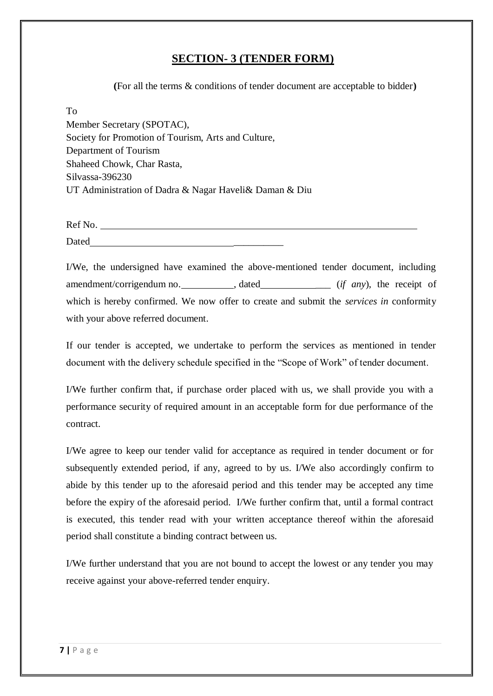#### **SECTION- 3 (TENDER FORM)**

**(**For all the terms & conditions of tender document are acceptable to bidder**)**

#### To

Member Secretary (SPOTAC), Society for Promotion of Tourism, Arts and Culture, Department of Tourism Shaheed Chowk, Char Rasta, Silvassa-396230 UT Administration of Dadra & Nagar Haveli& Daman & Diu

Ref No. Dated \_\_\_\_\_\_\_\_\_\_

I/We, the undersigned have examined the above-mentioned tender document, including amendment/corrigendum no. \_\_\_\_\_\_\_\_\_\_\_, dated \_\_\_\_\_\_\_\_\_\_\_\_\_\_ (*if any*), the receipt of which is hereby confirmed. We now offer to create and submit the *services in* conformity with your above referred document.

If our tender is accepted, we undertake to perform the services as mentioned in tender document with the delivery schedule specified in the "Scope of Work" of tender document.

I/We further confirm that, if purchase order placed with us, we shall provide you with a performance security of required amount in an acceptable form for due performance of the contract.

I/We agree to keep our tender valid for acceptance as required in tender document or for subsequently extended period, if any, agreed to by us. I/We also accordingly confirm to abide by this tender up to the aforesaid period and this tender may be accepted any time before the expiry of the aforesaid period. I/We further confirm that, until a formal contract is executed, this tender read with your written acceptance thereof within the aforesaid period shall constitute a binding contract between us.

I/We further understand that you are not bound to accept the lowest or any tender you may receive against your above-referred tender enquiry.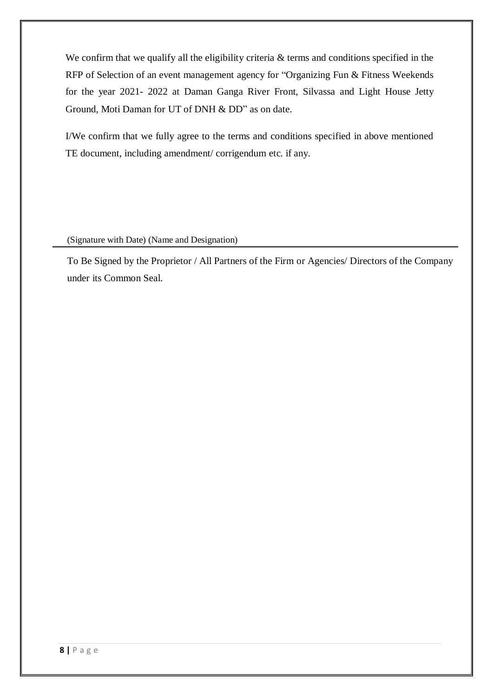We confirm that we qualify all the eligibility criteria & terms and conditions specified in the RFP of Selection of an event management agency for "Organizing Fun & Fitness Weekends for the year 2021- 2022 at Daman Ganga River Front, Silvassa and Light House Jetty Ground, Moti Daman for UT of DNH & DD" as on date.

I/We confirm that we fully agree to the terms and conditions specified in above mentioned TE document, including amendment/ corrigendum etc. if any.

(Signature with Date) (Name and Designation)

To Be Signed by the Proprietor / All Partners of the Firm or Agencies/ Directors of the Company under its Common Seal.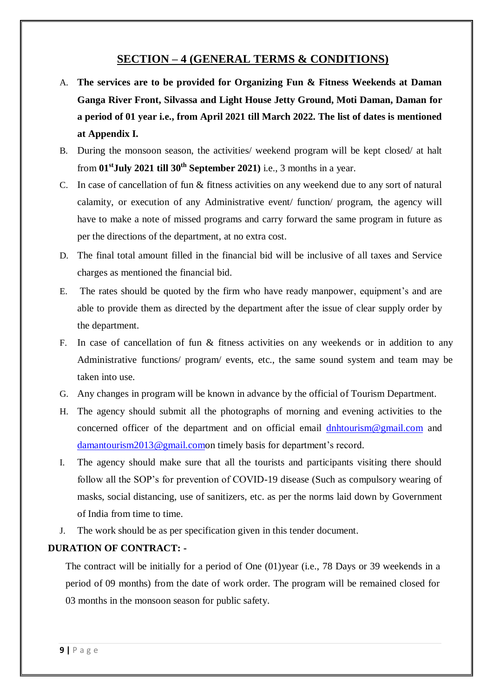#### **SECTION – 4 (GENERAL TERMS & CONDITIONS)**

- A. **The services are to be provided for Organizing Fun & Fitness Weekends at Daman Ganga River Front, Silvassa and Light House Jetty Ground, Moti Daman, Daman for a period of 01 year i.e., from April 2021 till March 2022. The list of dates is mentioned at Appendix I.**
- B. During the monsoon season, the activities/ weekend program will be kept closed/ at halt from **01 stJuly 2021 till 30th September 2021)** i.e., 3 months in a year.
- C. In case of cancellation of fun & fitness activities on any weekend due to any sort of natural calamity, or execution of any Administrative event/ function/ program, the agency will have to make a note of missed programs and carry forward the same program in future as per the directions of the department, at no extra cost.
- D. The final total amount filled in the financial bid will be inclusive of all taxes and Service charges as mentioned the financial bid.
- E. The rates should be quoted by the firm who have ready manpower, equipment's and are able to provide them as directed by the department after the issue of clear supply order by the department.
- F. In case of cancellation of fun & fitness activities on any weekends or in addition to any Administrative functions/ program/ events, etc., the same sound system and team may be taken into use.
- G. Any changes in program will be known in advance by the official of Tourism Department.
- H. The agency should submit all the photographs of morning and evening activities to the concerned officer of the department and on official email **[dnhtourism@gmail.com](mailto:dnhtourism@gmail.com)** and [damantourism2013@gmail.como](mailto:damantourism2013@gmail.com)n timely basis for department's record.
- I. The agency should make sure that all the tourists and participants visiting there should follow all the SOP's for prevention of COVID-19 disease (Such as compulsory wearing of masks, social distancing, use of sanitizers, etc. as per the norms laid down by Government of India from time to time.
- J. The work should be as per specification given in this tender document.

#### **DURATION OF CONTRACT: -**

The contract will be initially for a period of One (01)year (i.e., 78 Days or 39 weekends in a period of 09 months) from the date of work order. The program will be remained closed for 03 months in the monsoon season for public safety.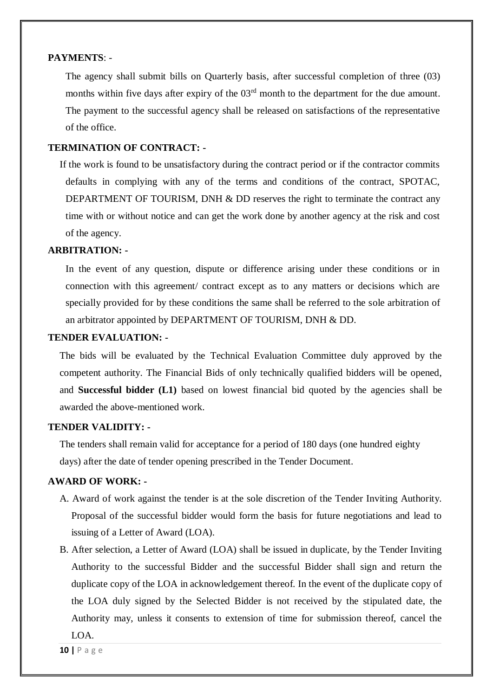#### **PAYMENTS**: -

The agency shall submit bills on Quarterly basis, after successful completion of three (03) months within five days after expiry of the  $03<sup>rd</sup>$  month to the department for the due amount. The payment to the successful agency shall be released on satisfactions of the representative of the office.

#### **TERMINATION OF CONTRACT: -**

If the work is found to be unsatisfactory during the contract period or if the contractor commits defaults in complying with any of the terms and conditions of the contract, SPOTAC, DEPARTMENT OF TOURISM, DNH & DD reserves the right to terminate the contract any time with or without notice and can get the work done by another agency at the risk and cost of the agency.

#### **ARBITRATION: -**

In the event of any question, dispute or difference arising under these conditions or in connection with this agreement/ contract except as to any matters or decisions which are specially provided for by these conditions the same shall be referred to the sole arbitration of an arbitrator appointed by DEPARTMENT OF TOURISM, DNH & DD.

#### **TENDER EVALUATION: -**

The bids will be evaluated by the Technical Evaluation Committee duly approved by the competent authority. The Financial Bids of only technically qualified bidders will be opened, and **Successful bidder (L1)** based on lowest financial bid quoted by the agencies shall be awarded the above-mentioned work.

#### **TENDER VALIDITY: -**

The tenders shall remain valid for acceptance for a period of 180 days (one hundred eighty days) after the date of tender opening prescribed in the Tender Document.

#### **AWARD OF WORK: -**

- A. Award of work against the tender is at the sole discretion of the Tender Inviting Authority. Proposal of the successful bidder would form the basis for future negotiations and lead to issuing of a Letter of Award (LOA).
- B. After selection, a Letter of Award (LOA) shall be issued in duplicate, by the Tender Inviting Authority to the successful Bidder and the successful Bidder shall sign and return the duplicate copy of the LOA in acknowledgement thereof. In the event of the duplicate copy of the LOA duly signed by the Selected Bidder is not received by the stipulated date, the Authority may, unless it consents to extension of time for submission thereof, cancel the LOA.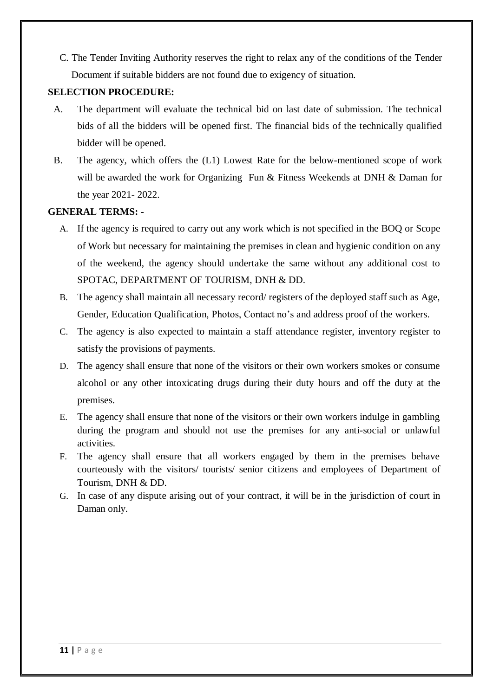C. The Tender Inviting Authority reserves the right to relax any of the conditions of the Tender Document if suitable bidders are not found due to exigency of situation.

#### **SELECTION PROCEDURE:**

- A. The department will evaluate the technical bid on last date of submission. The technical bids of all the bidders will be opened first. The financial bids of the technically qualified bidder will be opened.
- B. The agency, which offers the (L1) Lowest Rate for the below-mentioned scope of work will be awarded the work for Organizing Fun & Fitness Weekends at DNH & Daman for the year 2021- 2022.

#### **GENERAL TERMS: -**

- A. If the agency is required to carry out any work which is not specified in the BOQ or Scope of Work but necessary for maintaining the premises in clean and hygienic condition on any of the weekend, the agency should undertake the same without any additional cost to SPOTAC, DEPARTMENT OF TOURISM, DNH & DD.
- B. The agency shall maintain all necessary record/ registers of the deployed staff such as Age, Gender, Education Qualification, Photos, Contact no's and address proof of the workers.
- C. The agency is also expected to maintain a staff attendance register, inventory register to satisfy the provisions of payments.
- D. The agency shall ensure that none of the visitors or their own workers smokes or consume alcohol or any other intoxicating drugs during their duty hours and off the duty at the premises.
- E. The agency shall ensure that none of the visitors or their own workers indulge in gambling during the program and should not use the premises for any anti-social or unlawful activities.
- F. The agency shall ensure that all workers engaged by them in the premises behave courteously with the visitors/ tourists/ senior citizens and employees of Department of Tourism, DNH & DD.
- G. In case of any dispute arising out of your contract, it will be in the jurisdiction of court in Daman only.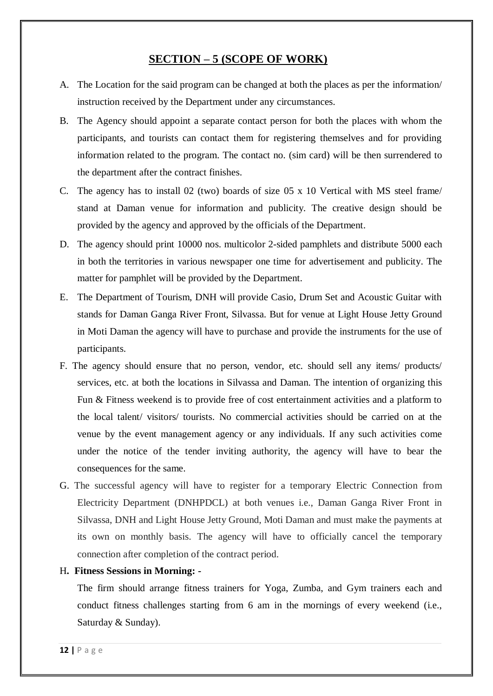#### **SECTION – 5 (SCOPE OF WORK)**

- A. The Location for the said program can be changed at both the places as per the information/ instruction received by the Department under any circumstances.
- B. The Agency should appoint a separate contact person for both the places with whom the participants, and tourists can contact them for registering themselves and for providing information related to the program. The contact no. (sim card) will be then surrendered to the department after the contract finishes.
- C. The agency has to install 02 (two) boards of size 05 x 10 Vertical with MS steel frame/ stand at Daman venue for information and publicity. The creative design should be provided by the agency and approved by the officials of the Department.
- D. The agency should print 10000 nos. multicolor 2-sided pamphlets and distribute 5000 each in both the territories in various newspaper one time for advertisement and publicity. The matter for pamphlet will be provided by the Department.
- E. The Department of Tourism, DNH will provide Casio, Drum Set and Acoustic Guitar with stands for Daman Ganga River Front, Silvassa. But for venue at Light House Jetty Ground in Moti Daman the agency will have to purchase and provide the instruments for the use of participants.
- F. The agency should ensure that no person, vendor, etc. should sell any items/ products/ services, etc. at both the locations in Silvassa and Daman. The intention of organizing this Fun & Fitness weekend is to provide free of cost entertainment activities and a platform to the local talent/ visitors/ tourists. No commercial activities should be carried on at the venue by the event management agency or any individuals. If any such activities come under the notice of the tender inviting authority, the agency will have to bear the consequences for the same.
- G. The successful agency will have to register for a temporary Electric Connection from Electricity Department (DNHPDCL) at both venues i.e., Daman Ganga River Front in Silvassa, DNH and Light House Jetty Ground, Moti Daman and must make the payments at its own on monthly basis. The agency will have to officially cancel the temporary connection after completion of the contract period.
- H**. Fitness Sessions in Morning: -**

The firm should arrange fitness trainers for Yoga, Zumba, and Gym trainers each and conduct fitness challenges starting from 6 am in the mornings of every weekend (i.e., Saturday & Sunday).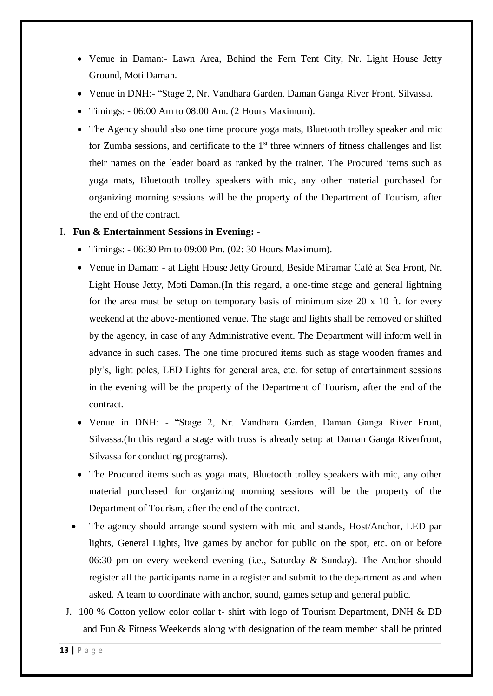- Venue in Daman:- Lawn Area, Behind the Fern Tent City, Nr. Light House Jetty Ground, Moti Daman.
- Venue in DNH:- "Stage 2, Nr. Vandhara Garden, Daman Ganga River Front, Silvassa.
- Timings: 06:00 Am to 08:00 Am. (2 Hours Maximum).
- The Agency should also one time procure yoga mats, Bluetooth trolley speaker and mic for Zumba sessions, and certificate to the  $1<sup>st</sup>$  three winners of fitness challenges and list their names on the leader board as ranked by the trainer. The Procured items such as yoga mats, Bluetooth trolley speakers with mic, any other material purchased for organizing morning sessions will be the property of the Department of Tourism, after the end of the contract.
- I. **Fun & Entertainment Sessions in Evening: -**
	- Timings: 06:30 Pm to 09:00 Pm. (02: 30 Hours Maximum).
	- Venue in Daman: at Light House Jetty Ground, Beside Miramar Café at Sea Front, Nr. Light House Jetty, Moti Daman.(In this regard, a one-time stage and general lightning for the area must be setup on temporary basis of minimum size 20 x 10 ft. for every weekend at the above-mentioned venue. The stage and lights shall be removed or shifted by the agency, in case of any Administrative event. The Department will inform well in advance in such cases. The one time procured items such as stage wooden frames and ply's, light poles, LED Lights for general area, etc. for setup of entertainment sessions in the evening will be the property of the Department of Tourism, after the end of the contract.
	- Venue in DNH: "Stage 2, Nr. Vandhara Garden, Daman Ganga River Front, Silvassa.(In this regard a stage with truss is already setup at Daman Ganga Riverfront, Silvassa for conducting programs).
	- The Procured items such as yoga mats, Bluetooth trolley speakers with mic, any other material purchased for organizing morning sessions will be the property of the Department of Tourism, after the end of the contract.
	- The agency should arrange sound system with mic and stands, Host/Anchor, LED par lights, General Lights, live games by anchor for public on the spot, etc. on or before 06:30 pm on every weekend evening (i.e., Saturday & Sunday). The Anchor should register all the participants name in a register and submit to the department as and when asked. A team to coordinate with anchor, sound, games setup and general public.
	- J. 100 % Cotton yellow color collar t- shirt with logo of Tourism Department, DNH & DD and Fun & Fitness Weekends along with designation of the team member shall be printed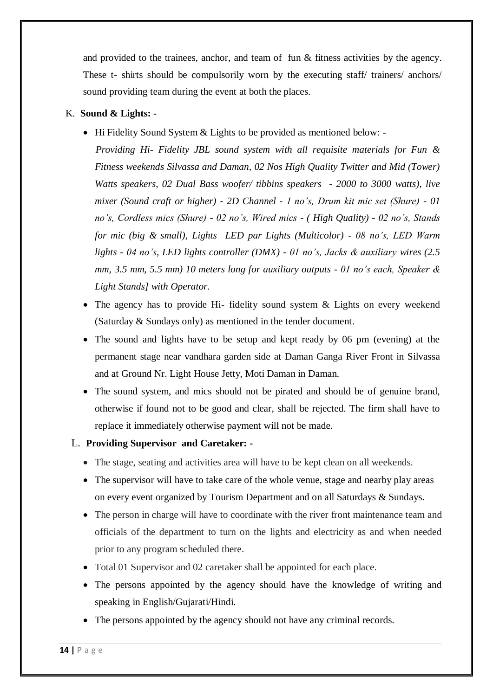and provided to the trainees, anchor, and team of fun & fitness activities by the agency. These t- shirts should be compulsorily worn by the executing staff/ trainers/ anchors/ sound providing team during the event at both the places.

#### K. **Sound & Lights: -**

• Hi Fidelity Sound System & Lights to be provided as mentioned below: -

 *Providing Hi- Fidelity JBL sound system with all requisite materials for Fun & Fitness weekends Silvassa and Daman, 02 Nos High Quality Twitter and Mid (Tower) Watts speakers, 02 Dual Bass woofer/ tibbins speakers - 2000 to 3000 watts), live mixer (Sound craft or higher) - 2D Channel - 1 no's, Drum kit mic set (Shure) - 01 no's, Cordless mics (Shure) - 02 no's, Wired mics - ( High Quality) - 02 no's, Stands for mic (big & small), Lights LED par Lights (Multicolor) - 08 no's, LED Warm lights - 04 no's, LED lights controller (DMX) - 01 no's, Jacks & auxiliary wires (2.5 mm, 3.5 mm, 5.5 mm) 10 meters long for auxiliary outputs - 01 no's each, Speaker & Light Stands] with Operator.*

- The agency has to provide Hi- fidelity sound system & Lights on every weekend (Saturday & Sundays only) as mentioned in the tender document.
- The sound and lights have to be setup and kept ready by 06 pm (evening) at the permanent stage near vandhara garden side at Daman Ganga River Front in Silvassa and at Ground Nr. Light House Jetty, Moti Daman in Daman.
- The sound system, and mics should not be pirated and should be of genuine brand, otherwise if found not to be good and clear, shall be rejected. The firm shall have to replace it immediately otherwise payment will not be made.

#### L. **Providing Supervisor and Caretaker: -**

- The stage, seating and activities area will have to be kept clean on all weekends.
- The supervisor will have to take care of the whole venue, stage and nearby play areas on every event organized by Tourism Department and on all Saturdays & Sundays.
- The person in charge will have to coordinate with the river front maintenance team and officials of the department to turn on the lights and electricity as and when needed prior to any program scheduled there.
- Total 01 Supervisor and 02 caretaker shall be appointed for each place.
- The persons appointed by the agency should have the knowledge of writing and speaking in English/Gujarati/Hindi.
- The persons appointed by the agency should not have any criminal records.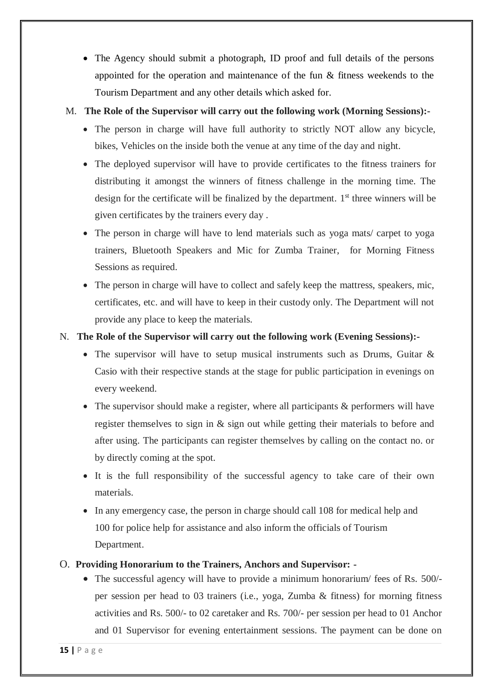The Agency should submit a photograph, ID proof and full details of the persons appointed for the operation and maintenance of the fun & fitness weekends to the Tourism Department and any other details which asked for.

#### M. **The Role of the Supervisor will carry out the following work (Morning Sessions):-**

- The person in charge will have full authority to strictly NOT allow any bicycle, bikes, Vehicles on the inside both the venue at any time of the day and night.
- The deployed supervisor will have to provide certificates to the fitness trainers for distributing it amongst the winners of fitness challenge in the morning time. The design for the certificate will be finalized by the department. 1<sup>st</sup> three winners will be given certificates by the trainers every day .
- The person in charge will have to lend materials such as yoga mats/ carpet to yoga trainers, Bluetooth Speakers and Mic for Zumba Trainer, for Morning Fitness Sessions as required.
- The person in charge will have to collect and safely keep the mattress, speakers, mic, certificates, etc. and will have to keep in their custody only. The Department will not provide any place to keep the materials.

#### N. **The Role of the Supervisor will carry out the following work (Evening Sessions):-**

- The supervisor will have to setup musical instruments such as Drums, Guitar & Casio with their respective stands at the stage for public participation in evenings on every weekend.
- The supervisor should make a register, where all participants & performers will have register themselves to sign in & sign out while getting their materials to before and after using. The participants can register themselves by calling on the contact no. or by directly coming at the spot.
- It is the full responsibility of the successful agency to take care of their own materials.
- In any emergency case, the person in charge should call 108 for medical help and 100 for police help for assistance and also inform the officials of Tourism Department.

#### O. **Providing Honorarium to the Trainers, Anchors and Supervisor: -**

 The successful agency will have to provide a minimum honorarium/ fees of Rs. 500/ per session per head to 03 trainers (i.e., yoga, Zumba & fitness) for morning fitness activities and Rs. 500/- to 02 caretaker and Rs. 700/- per session per head to 01 Anchor and 01 Supervisor for evening entertainment sessions. The payment can be done on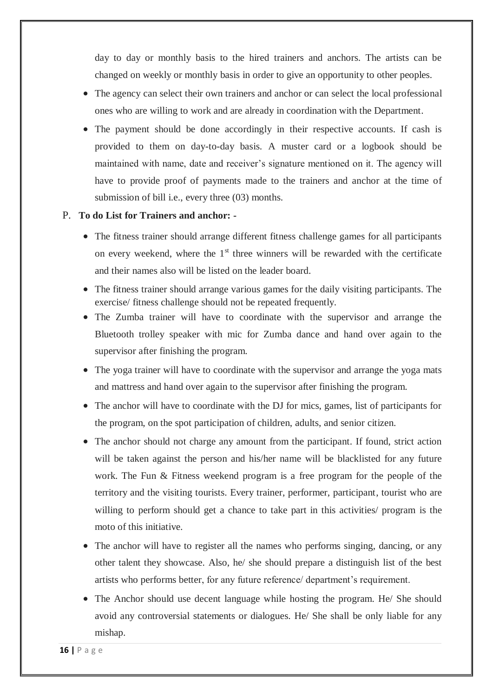day to day or monthly basis to the hired trainers and anchors. The artists can be changed on weekly or monthly basis in order to give an opportunity to other peoples.

- The agency can select their own trainers and anchor or can select the local professional ones who are willing to work and are already in coordination with the Department.
- The payment should be done accordingly in their respective accounts. If cash is provided to them on day-to-day basis. A muster card or a logbook should be maintained with name, date and receiver's signature mentioned on it. The agency will have to provide proof of payments made to the trainers and anchor at the time of submission of bill i.e., every three (03) months.

#### P. **To do List for Trainers and anchor: -**

- The fitness trainer should arrange different fitness challenge games for all participants on every weekend, where the  $1<sup>st</sup>$  three winners will be rewarded with the certificate and their names also will be listed on the leader board.
- The fitness trainer should arrange various games for the daily visiting participants. The exercise/ fitness challenge should not be repeated frequently.
- The Zumba trainer will have to coordinate with the supervisor and arrange the Bluetooth trolley speaker with mic for Zumba dance and hand over again to the supervisor after finishing the program.
- The yoga trainer will have to coordinate with the supervisor and arrange the yoga mats and mattress and hand over again to the supervisor after finishing the program.
- The anchor will have to coordinate with the DJ for mics, games, list of participants for the program, on the spot participation of children, adults, and senior citizen.
- The anchor should not charge any amount from the participant. If found, strict action will be taken against the person and his/her name will be blacklisted for any future work. The Fun & Fitness weekend program is a free program for the people of the territory and the visiting tourists. Every trainer, performer, participant, tourist who are willing to perform should get a chance to take part in this activities/ program is the moto of this initiative.
- The anchor will have to register all the names who performs singing, dancing, or any other talent they showcase. Also, he/ she should prepare a distinguish list of the best artists who performs better, for any future reference/ department's requirement.
- The Anchor should use decent language while hosting the program. He/ She should avoid any controversial statements or dialogues. He/ She shall be only liable for any mishap.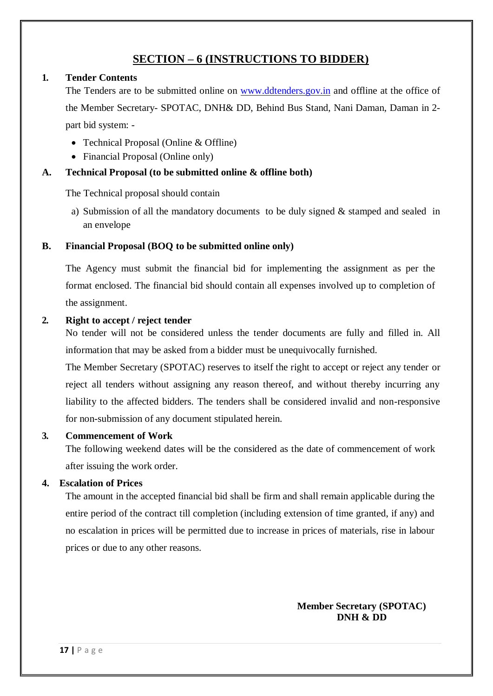### **SECTION – 6 (INSTRUCTIONS TO BIDDER)**

#### **1. Tender Contents**

The Tenders are to be submitted online on [www.ddtenders.gov.in](http://www.ddtenders.gov.in/) and offline at the office of the Member Secretary- SPOTAC, DNH& DD, Behind Bus Stand, Nani Daman, Daman in 2 part bid system: -

- Technical Proposal (Online & Offline)
- Financial Proposal (Online only)

#### **A. Technical Proposal (to be submitted online & offline both)**

The Technical proposal should contain

a) Submission of all the mandatory documents to be duly signed & stamped and sealed in an envelope

#### **B. Financial Proposal (BOQ to be submitted online only)**

The Agency must submit the financial bid for implementing the assignment as per the format enclosed. The financial bid should contain all expenses involved up to completion of the assignment.

#### **2. Right to accept / reject tender**

No tender will not be considered unless the tender documents are fully and filled in. All information that may be asked from a bidder must be unequivocally furnished.

The Member Secretary (SPOTAC) reserves to itself the right to accept or reject any tender or reject all tenders without assigning any reason thereof, and without thereby incurring any liability to the affected bidders. The tenders shall be considered invalid and non-responsive for non-submission of any document stipulated herein.

#### **3. Commencement of Work**

The following weekend dates will be the considered as the date of commencement of work after issuing the work order.

#### **4. Escalation of Prices**

The amount in the accepted financial bid shall be firm and shall remain applicable during the entire period of the contract till completion (including extension of time granted, if any) and no escalation in prices will be permitted due to increase in prices of materials, rise in labour prices or due to any other reasons.

#### **Member Secretary (SPOTAC) DNH & DD**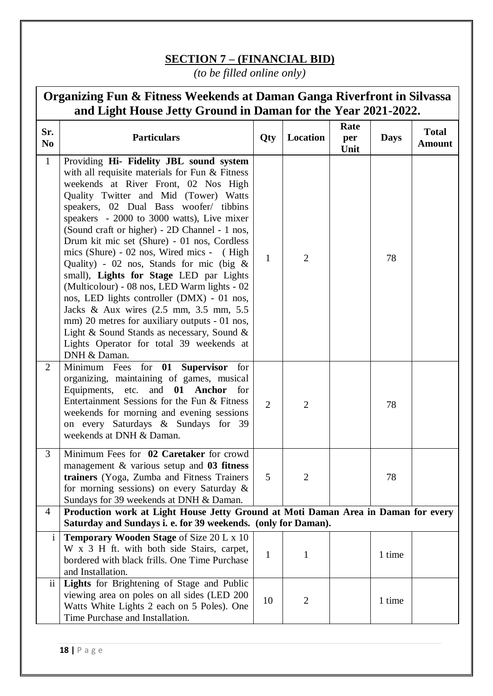## **SECTION 7 – (FINANCIAL BID)**

*(to be filled online only)*

| Organizing Fun & Fitness Weekends at Daman Ganga Riverfront in Silvassa<br>and Light House Jetty Ground in Daman for the Year 2021-2022. |                                                                                                                                                                                                                                                                                                                                                                                                                                                                                                                                                                                                                                                                                                                                                                                                              |                |                |                     |             |                               |
|------------------------------------------------------------------------------------------------------------------------------------------|--------------------------------------------------------------------------------------------------------------------------------------------------------------------------------------------------------------------------------------------------------------------------------------------------------------------------------------------------------------------------------------------------------------------------------------------------------------------------------------------------------------------------------------------------------------------------------------------------------------------------------------------------------------------------------------------------------------------------------------------------------------------------------------------------------------|----------------|----------------|---------------------|-------------|-------------------------------|
| Sr.<br>N <sub>0</sub>                                                                                                                    | <b>Particulars</b>                                                                                                                                                                                                                                                                                                                                                                                                                                                                                                                                                                                                                                                                                                                                                                                           | Qty            | Location       | Rate<br>per<br>Unit | <b>Days</b> | <b>Total</b><br><b>Amount</b> |
| $\mathbf{1}$                                                                                                                             | Providing Hi- Fidelity JBL sound system<br>with all requisite materials for Fun & Fitness<br>weekends at River Front, 02 Nos High<br>Quality Twitter and Mid (Tower) Watts<br>speakers, 02 Dual Bass woofer/ tibbins<br>speakers - 2000 to 3000 watts), Live mixer<br>(Sound craft or higher) - 2D Channel - 1 nos,<br>Drum kit mic set (Shure) - 01 nos, Cordless<br>mics (Shure) - 02 nos, Wired mics - (High<br>Quality) - 02 nos, Stands for mic (big $\&$<br>small), Lights for Stage LED par Lights<br>(Multicolour) - 08 nos, LED Warm lights - 02<br>nos, LED lights controller (DMX) - 01 nos,<br>Jacks & Aux wires (2.5 mm, 3.5 mm, 5.5<br>mm) 20 metres for auxiliary outputs - 01 nos,<br>Light & Sound Stands as necessary, Sound &<br>Lights Operator for total 39 weekends at<br>DNH & Daman. | $\mathbf{1}$   | $\overline{2}$ |                     | 78          |                               |
| $\overline{2}$                                                                                                                           | Minimum Fees for 01 Supervisor for<br>organizing, maintaining of games, musical<br>Equipments, etc. and 01 Anchor<br>for<br>Entertainment Sessions for the Fun & Fitness<br>weekends for morning and evening sessions<br>on every Saturdays & Sundays for 39<br>weekends at DNH & Daman.                                                                                                                                                                                                                                                                                                                                                                                                                                                                                                                     | $\overline{2}$ | $\overline{2}$ |                     | 78          |                               |
| 3                                                                                                                                        | Minimum Fees for 02 Caretaker for crowd<br>management $\&$ various setup and 03 fitness<br>trainers (Yoga, Zumba and Fitness Trainers<br>for morning sessions) on every Saturday $\&$<br>Sundays for 39 weekends at DNH & Daman.                                                                                                                                                                                                                                                                                                                                                                                                                                                                                                                                                                             | 5              | $\overline{2}$ |                     | 78          |                               |
| 4                                                                                                                                        | Production work at Light House Jetty Ground at Moti Daman Area in Daman for every<br>Saturday and Sundays i. e. for 39 weekends. (only for Daman).                                                                                                                                                                                                                                                                                                                                                                                                                                                                                                                                                                                                                                                           |                |                |                     |             |                               |
| $\mathbf{i}$                                                                                                                             | <b>Temporary Wooden Stage of Size 20 L x 10</b><br>W x 3 H ft. with both side Stairs, carpet,<br>bordered with black frills. One Time Purchase<br>and Installation.                                                                                                                                                                                                                                                                                                                                                                                                                                                                                                                                                                                                                                          | $\mathbf{1}$   | $\mathbf{1}$   |                     | 1 time      |                               |
| $\ddot{\mathbf{i}}$                                                                                                                      | Lights for Brightening of Stage and Public<br>viewing area on poles on all sides (LED 200<br>Watts White Lights 2 each on 5 Poles). One<br>Time Purchase and Installation.                                                                                                                                                                                                                                                                                                                                                                                                                                                                                                                                                                                                                                   | 10             | $\overline{2}$ |                     | 1 time      |                               |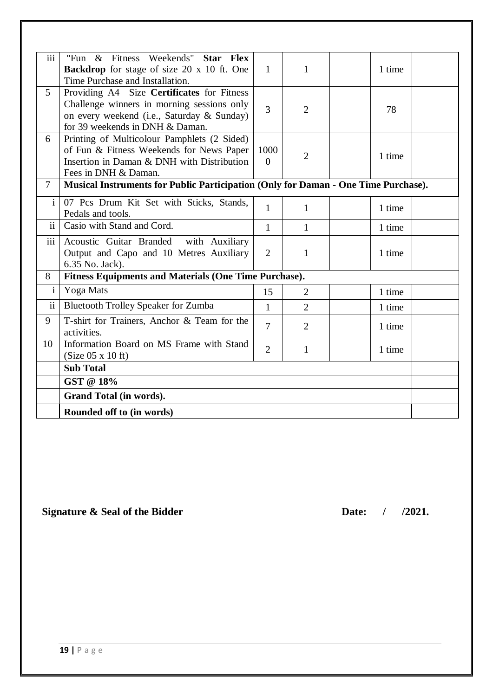| iii             | "Fun & Fitness Weekends" Star Flex                                                 |                |                |        |
|-----------------|------------------------------------------------------------------------------------|----------------|----------------|--------|
|                 | <b>Backdrop</b> for stage of size 20 x 10 ft. One                                  | $\mathbf{1}$   | $\mathbf{1}$   | 1 time |
|                 | Time Purchase and Installation.                                                    |                |                |        |
| 5 <sup>5</sup>  | Providing A4 Size Certificates for Fitness                                         |                |                |        |
|                 | Challenge winners in morning sessions only                                         | $\overline{3}$ | $\overline{2}$ | 78     |
|                 | on every weekend (i.e., Saturday & Sunday)                                         |                |                |        |
|                 | for 39 weekends in DNH & Daman.                                                    |                |                |        |
| 6               | Printing of Multicolour Pamphlets (2 Sided)                                        |                |                |        |
|                 | of Fun & Fitness Weekends for News Paper                                           | 1000           | $\overline{2}$ | 1 time |
|                 | Insertion in Daman & DNH with Distribution                                         | $\theta$       |                |        |
|                 | Fees in DNH & Daman.                                                               |                |                |        |
| $\overline{7}$  | Musical Instruments for Public Participation (Only for Daman - One Time Purchase). |                |                |        |
| $\mathbf{i}$    | 07 Pcs Drum Kit Set with Sticks, Stands,                                           | $\mathbf{1}$   | $\mathbf{1}$   | 1 time |
|                 | Pedals and tools.                                                                  |                |                |        |
| $\mathbf{ii}$   | Casio with Stand and Cord.                                                         | $\mathbf{1}$   | $\mathbf{1}$   | 1 time |
| iii             | Acoustic Guitar Branded<br>with Auxiliary                                          |                |                |        |
|                 | Output and Capo and 10 Metres Auxiliary                                            | 2              | 1              | 1 time |
|                 | 6.35 No. Jack).                                                                    |                |                |        |
| 8               | <b>Fitness Equipments and Materials (One Time Purchase).</b>                       |                |                |        |
| $\mathbf{i}$    | Yoga Mats                                                                          | 15             | $\overline{2}$ | 1 time |
| $\ddot{\rm ii}$ | Bluetooth Trolley Speaker for Zumba                                                | $\mathbf{1}$   | $\overline{2}$ | 1 time |
| 9               | T-shirt for Trainers, Anchor & Team for the                                        | $\overline{7}$ | $\overline{2}$ | 1 time |
|                 | activities.                                                                        |                |                |        |
| 10              | Information Board on MS Frame with Stand                                           | $\overline{2}$ | 1              | 1 time |
|                 | (Size 05 x 10 ft)                                                                  |                |                |        |
|                 | <b>Sub Total</b>                                                                   |                |                |        |
|                 | GST @ 18%                                                                          |                |                |        |
|                 | Grand Total (in words).                                                            |                |                |        |
|                 | Rounded off to (in words)                                                          |                |                |        |

## **Signature & Seal of the Bidder Date:**  $/$  /2021.